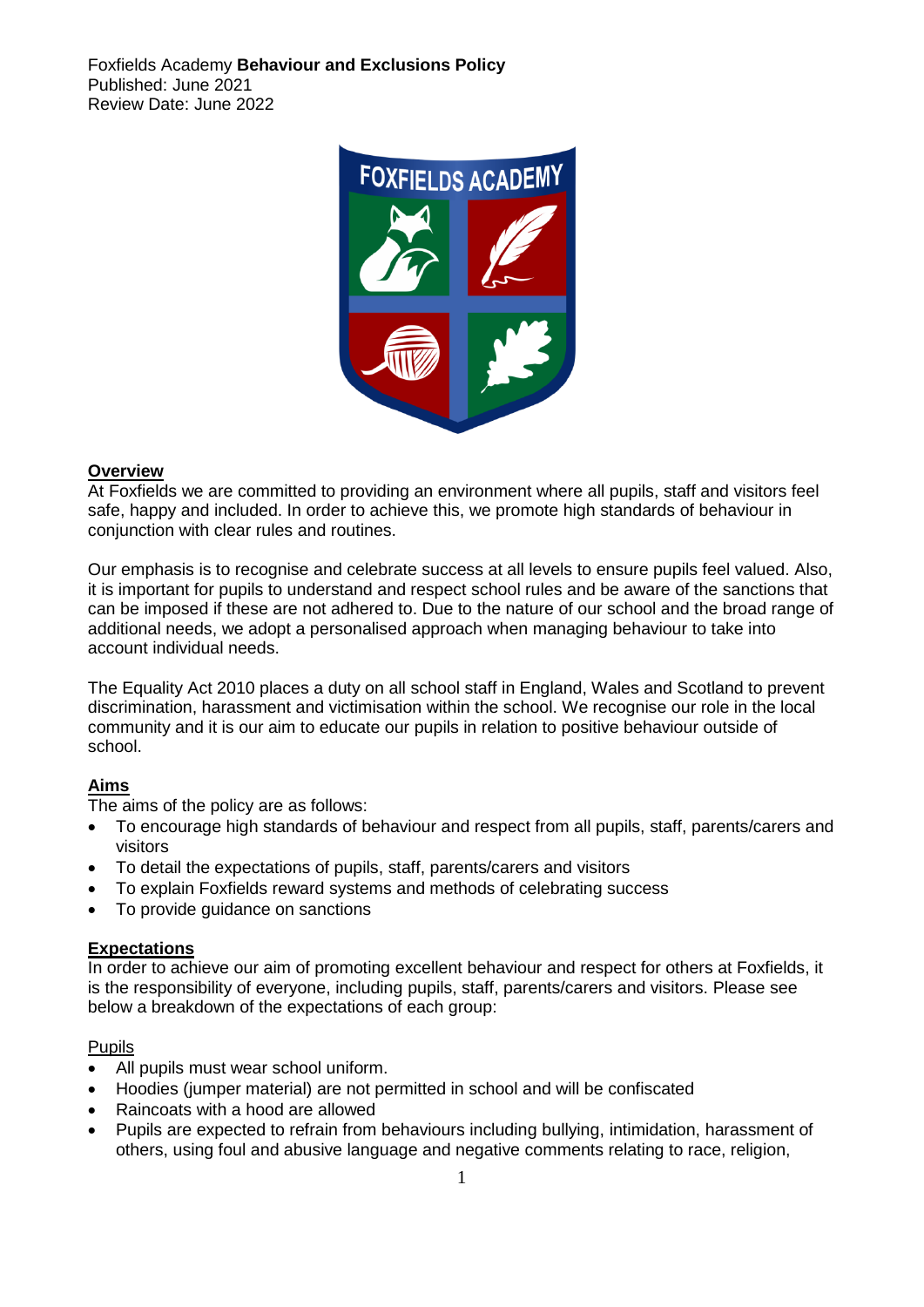Foxfields Academy **Behaviour and Exclusions Policy** Published: June 2021 Review Date: June 2022



## **Overview**

At Foxfields we are committed to providing an environment where all pupils, staff and visitors feel safe, happy and included. In order to achieve this, we promote high standards of behaviour in conjunction with clear rules and routines.

Our emphasis is to recognise and celebrate success at all levels to ensure pupils feel valued. Also, it is important for pupils to understand and respect school rules and be aware of the sanctions that can be imposed if these are not adhered to. Due to the nature of our school and the broad range of additional needs, we adopt a personalised approach when managing behaviour to take into account individual needs.

The Equality Act 2010 places a duty on all school staff in England, Wales and Scotland to prevent discrimination, harassment and victimisation within the school. We recognise our role in the local community and it is our aim to educate our pupils in relation to positive behaviour outside of school.

# **Aims**

The aims of the policy are as follows:

- To encourage high standards of behaviour and respect from all pupils, staff, parents/carers and visitors
- To detail the expectations of pupils, staff, parents/carers and visitors
- To explain Foxfields reward systems and methods of celebrating success
- To provide guidance on sanctions

# **Expectations**

In order to achieve our aim of promoting excellent behaviour and respect for others at Foxfields, it is the responsibility of everyone, including pupils, staff, parents/carers and visitors. Please see below a breakdown of the expectations of each group:

### Pupils

- All pupils must wear school uniform.
- Hoodies (jumper material) are not permitted in school and will be confiscated
- Raincoats with a hood are allowed
- Pupils are expected to refrain from behaviours including bullying, intimidation, harassment of others, using foul and abusive language and negative comments relating to race, religion,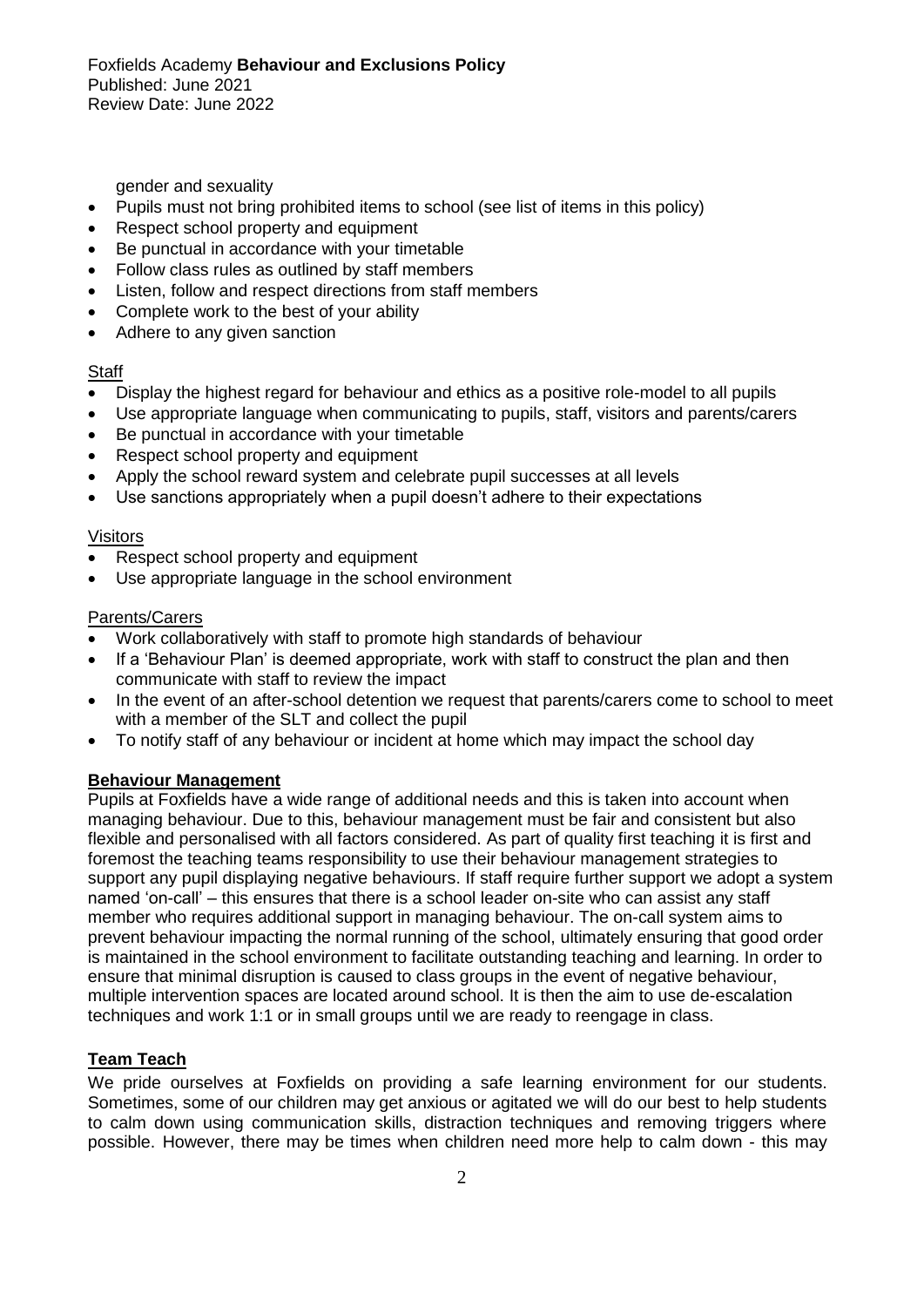Foxfields Academy **Behaviour and Exclusions Policy** Published: June 2021 Review Date: June 2022

gender and sexuality

- Pupils must not bring prohibited items to school (see list of items in this policy)
- Respect school property and equipment
- Be punctual in accordance with your timetable
- Follow class rules as outlined by staff members
- Listen, follow and respect directions from staff members
- Complete work to the best of your ability
- Adhere to any given sanction

### **Staff**

- Display the highest regard for behaviour and ethics as a positive role-model to all pupils
- Use appropriate language when communicating to pupils, staff, visitors and parents/carers
- Be punctual in accordance with your timetable
- Respect school property and equipment
- Apply the school reward system and celebrate pupil successes at all levels
- Use sanctions appropriately when a pupil doesn't adhere to their expectations

# Visitors

- Respect school property and equipment
- Use appropriate language in the school environment

## Parents/Carers

- Work collaboratively with staff to promote high standards of behaviour
- If a 'Behaviour Plan' is deemed appropriate, work with staff to construct the plan and then communicate with staff to review the impact
- In the event of an after-school detention we request that parents/carers come to school to meet with a member of the SLT and collect the pupil
- To notify staff of any behaviour or incident at home which may impact the school day

# **Behaviour Management**

Pupils at Foxfields have a wide range of additional needs and this is taken into account when managing behaviour. Due to this, behaviour management must be fair and consistent but also flexible and personalised with all factors considered. As part of quality first teaching it is first and foremost the teaching teams responsibility to use their behaviour management strategies to support any pupil displaying negative behaviours. If staff require further support we adopt a system named 'on-call' – this ensures that there is a school leader on-site who can assist any staff member who requires additional support in managing behaviour. The on-call system aims to prevent behaviour impacting the normal running of the school, ultimately ensuring that good order is maintained in the school environment to facilitate outstanding teaching and learning. In order to ensure that minimal disruption is caused to class groups in the event of negative behaviour, multiple intervention spaces are located around school. It is then the aim to use de-escalation techniques and work 1:1 or in small groups until we are ready to reengage in class.

# **Team Teach**

We pride ourselves at Foxfields on providing a safe learning environment for our students. Sometimes, some of our children may get anxious or agitated we will do our best to help students to calm down using communication skills, distraction techniques and removing triggers where possible. However, there may be times when children need more help to calm down - this may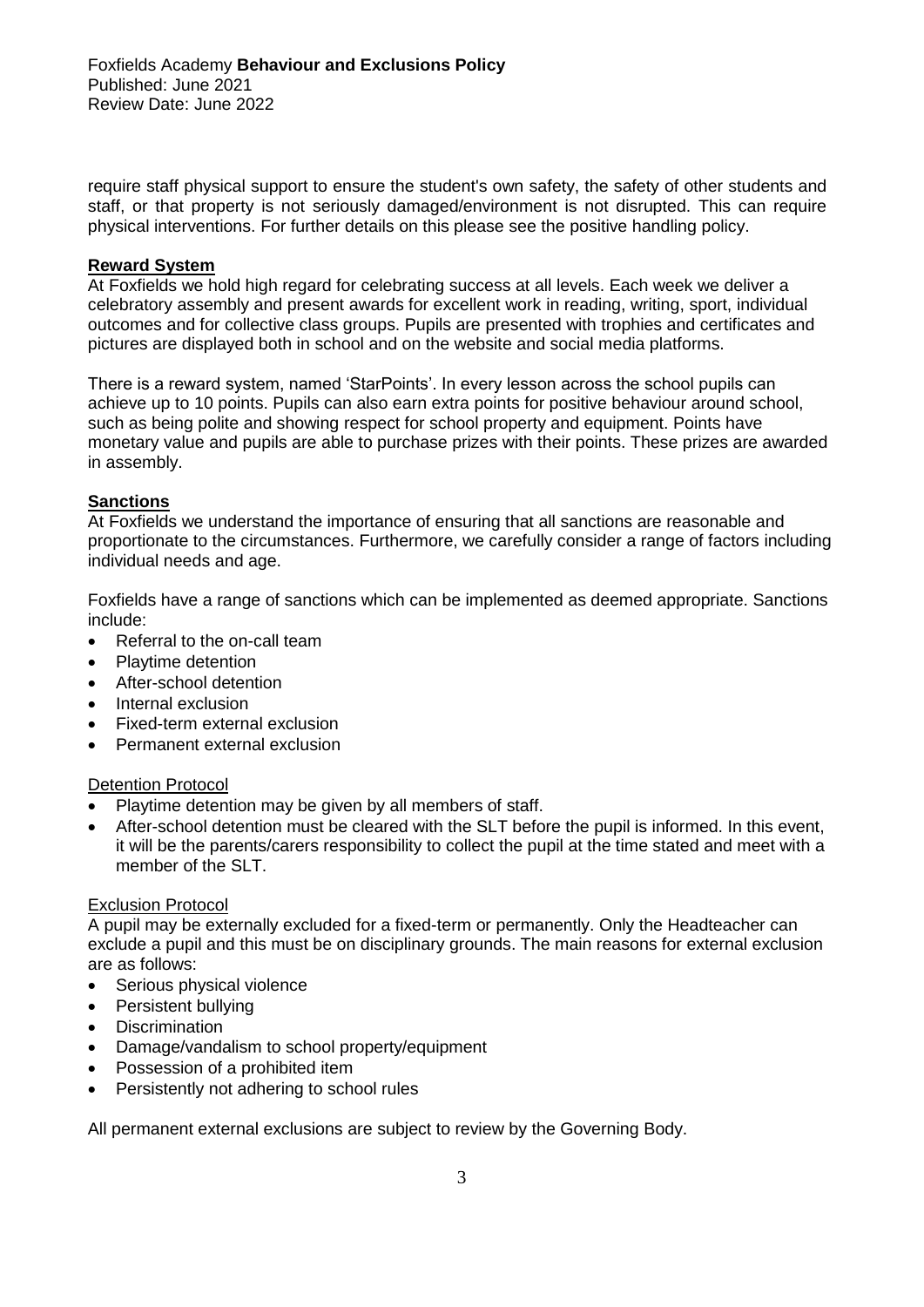require staff physical support to ensure the student's own safety, the safety of other students and staff, or that property is not seriously damaged/environment is not disrupted. This can require physical interventions. For further details on this please see the positive handling policy.

### **Reward System**

At Foxfields we hold high regard for celebrating success at all levels. Each week we deliver a celebratory assembly and present awards for excellent work in reading, writing, sport, individual outcomes and for collective class groups. Pupils are presented with trophies and certificates and pictures are displayed both in school and on the website and social media platforms.

There is a reward system, named 'StarPoints'. In every lesson across the school pupils can achieve up to 10 points. Pupils can also earn extra points for positive behaviour around school, such as being polite and showing respect for school property and equipment. Points have monetary value and pupils are able to purchase prizes with their points. These prizes are awarded in assembly.

# **Sanctions**

At Foxfields we understand the importance of ensuring that all sanctions are reasonable and proportionate to the circumstances. Furthermore, we carefully consider a range of factors including individual needs and age.

Foxfields have a range of sanctions which can be implemented as deemed appropriate. Sanctions include:

- Referral to the on-call team
- Playtime detention
- After-school detention
- Internal exclusion
- Fixed-term external exclusion
- Permanent external exclusion

### Detention Protocol

- Playtime detention may be given by all members of staff.
- After-school detention must be cleared with the SLT before the pupil is informed. In this event, it will be the parents/carers responsibility to collect the pupil at the time stated and meet with a member of the SLT.

### Exclusion Protocol

A pupil may be externally excluded for a fixed-term or permanently. Only the Headteacher can exclude a pupil and this must be on disciplinary grounds. The main reasons for external exclusion are as follows:

- Serious physical violence
- Persistent bullying
- Discrimination
- Damage/vandalism to school property/equipment
- Possession of a prohibited item
- Persistently not adhering to school rules

All permanent external exclusions are subject to review by the Governing Body.